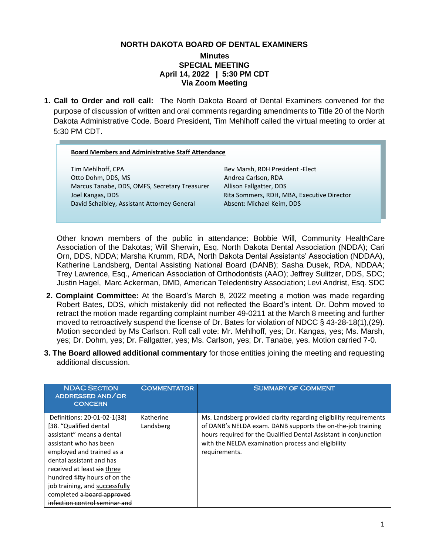#### **NORTH DAKOTA BOARD OF DENTAL EXAMINERS**

#### **Minutes SPECIAL MEETING April 14, 2022 | 5:30 PM CDT Via Zoom Meeting**

**1. Call to Order and roll call:** The North Dakota Board of Dental Examiners convened for the purpose of discussion of written and oral comments regarding amendments to Title 20 of the North Dakota Administrative Code. Board President, Tim Mehlhoff called the virtual meeting to order at 5:30 PM CDT.

#### **Board Members and Administrative Staff Attendance**

ī

Tim Mehlhoff, CPA Bev Marsh, RDH President -Elect Otto Dohm, DDS, MS
andrea Carlson, RDA
andrea Carlson, RDA
andrea Carlson, RDA
andrea Carlson, RDA
andrea Carlson, RDA
andrea Carlson, RDA
andrea Carlson, RDA
andrea Carlson, RDA
andrea Carlson, RDA
andrea Carlson, RDA
and Marcus Tanabe, DDS, OMFS, Secretary Treasurer Allison Fallgatter, DDS Joel Kangas, DDS Rita Sommers, RDH, MBA, Executive Director David Schaibley, Assistant Attorney General Absent: Michael Keim, DDS

Other known members of the public in attendance: Bobbie Will, Community HealthCare Association of the Dakotas; Will Sherwin, Esq. North Dakota Dental Association (NDDA); Cari Orn, DDS, NDDA; Marsha Krumm, RDA, North Dakota Dental Assistants' Association (NDDAA), Katherine Landsberg, Dental Assisting National Board (DANB); Sasha Dusek, RDA, NDDAA; Trey Lawrence, Esq., American Association of Orthodontists (AAO); Jeffrey Sulitzer, DDS, SDC; Justin Hagel, Marc Ackerman, DMD, American Teledentistry Association; Levi Andrist, Esq. SDC

- **2. Complaint Committee:** At the Board's March 8, 2022 meeting a motion was made regarding Robert Bates, DDS, which mistakenly did not reflected the Board's intent. Dr. Dohm moved to retract the motion made regarding complaint number 49-0211 at the March 8 meeting and further moved to retroactively suspend the license of Dr. Bates for violation of NDCC § 43-28-18(1),(29). Motion seconded by Ms Carlson. Roll call vote: Mr. Mehlhoff, yes; Dr. Kangas, yes; Ms. Marsh, yes; Dr. Dohm, yes; Dr. Fallgatter, yes; Ms. Carlson, yes; Dr. Tanabe, yes. Motion carried 7-0.
- **3. The Board allowed additional commentary** for those entities joining the meeting and requesting additional discussion.

| <b>NDAC SECTION</b><br>ADDRESSED AND/OR<br><b>CONCERN</b>                                                                                                                                                                                                                                                                              | <b>COMMENTATOR</b>     | <b>SUMMARY OF COMMENT</b>                                                                                                                                                                                                                                                   |
|----------------------------------------------------------------------------------------------------------------------------------------------------------------------------------------------------------------------------------------------------------------------------------------------------------------------------------------|------------------------|-----------------------------------------------------------------------------------------------------------------------------------------------------------------------------------------------------------------------------------------------------------------------------|
| Definitions: 20-01-02-1(38)<br>[38. "Qualified dental<br>assistant" means a dental<br>assistant who has been<br>employed and trained as a<br>dental assistant and has<br>received at least six three<br>hundred fifty hours of on the<br>job training, and successfully<br>completed a board approved<br>infection control seminar and | Katherine<br>Landsberg | Ms. Landsberg provided clarity regarding eligibility requirements<br>of DANB's NELDA exam. DANB supports the on-the-job training<br>hours required for the Qualified Dental Assistant in conjunction<br>with the NELDA examination process and eligibility<br>requirements. |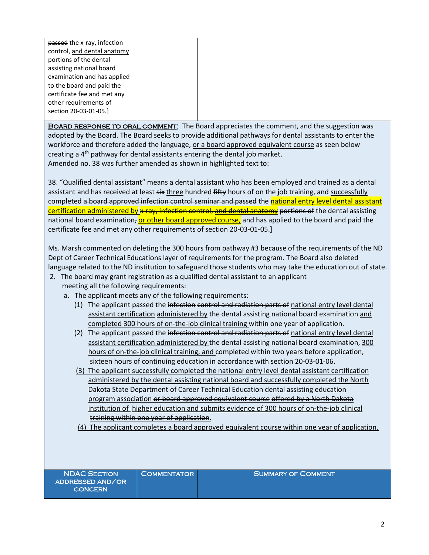| passed the x-ray, infection |  |
|-----------------------------|--|
| control, and dental anatomy |  |
| portions of the dental      |  |
| assisting national board    |  |
| examination and has applied |  |
| to the board and paid the   |  |
| certificate fee and met any |  |
| other requirements of       |  |
| section 20-03-01-05.]       |  |
|                             |  |

BOARD RESPONSE TO ORAL COMMENT: The Board appreciates the comment, and the suggestion was adopted by the Board. The Board seeks to provide additional pathways for dental assistants to enter the workforce and therefore added the language, or a board approved equivalent course as seen below creating a 4<sup>th</sup> pathway for dental assistants entering the dental job market. Amended no. 38 was further amended as shown in highlighted text to:

38. "Qualified dental assistant" means a dental assistant who has been employed and trained as a dental assistant and has received at least six three hundred fifty hours of on the job training, and successfully completed a board approved infection control seminar and passed the national entry level dental assistant certification administered by x-ray, infection control, and dental anatomy portions of the dental assisting national board examination, or other board approved course, and has applied to the board and paid the certificate fee and met any other requirements of section 20-03-01-05.]

Ms. Marsh commented on deleting the 300 hours from pathway #3 because of the requirements of the ND Dept of Career Technical Educations layer of requirements for the program. The Board also deleted language related to the ND institution to safeguard those students who may take the education out of state.

- 2. The board may grant registration as a qualified dental assistant to an applicant meeting all the following requirements:
	- a. The applicant meets any of the following requirements:
		- (1) The applicant passed the infection control and radiation parts of national entry level dental assistant certification administered by the dental assisting national board examination and completed 300 hours of on-the-job clinical training within one year of application.
		- (2) The applicant passed the infection control and radiation parts of national entry level dental assistant certification administered by the dental assisting national board examination, 300 hours of on-the-job clinical training, and completed within two years before application, sixteen hours of continuing education in accordance with section 20-03-01-06.
		- (3) The applicant successfully completed the national entry level dental assistant certification administered by the dental assisting national board and successfully completed the North Dakota State Department of Career Technical Education dental assisting education program association or board approved equivalent course offered by a North Dakota institution of higher education and submits evidence of 300 hours of on-the-job clinical training within one year of application.
		- (4) The applicant completes a board approved equivalent course within one year of application.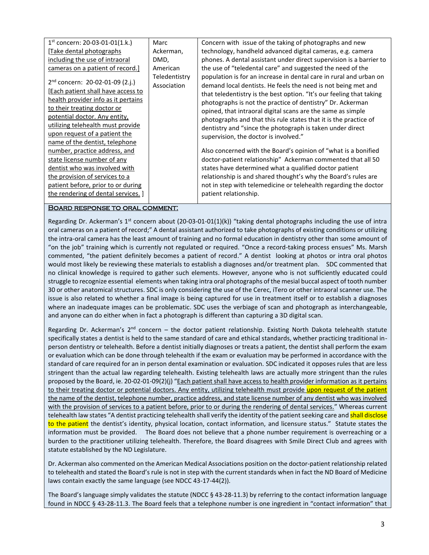| $1st$ concern: 20-03-01-01(1.k.)<br>Marc<br>Concern with issue of the taking of photographs and new<br>technology, handheld advanced digital cameras, e.g. camera<br>Take dental photographs<br>Ackerman,<br>phones. A dental assistant under direct supervision is a barrier to<br>including the use of intraoral<br>DMD,<br>the use of "teledental care" and suggested the need of the<br>cameras on a patient of record.]<br>American<br>population is for an increase in dental care in rural and urban on<br>Teledentistry<br>$2nd concern: 20-02-01-09 (2.j.)$<br>demand local dentists. He feels the need is not being met and<br>Association<br>[Each patient shall have access to<br>that teledentistry is the best option. "It's our feeling that taking<br><u>health provider info as it pertains</u><br>photographs is not the practice of dentistry" Dr. Ackerman<br>to their treating doctor or<br>opined, that intraoral digital scans are the same as simple<br>potential doctor. Any entity,<br>photographs and that this rule states that it is the practice of<br>utilizing telehealth must provide<br>dentistry and "since the photograph is taken under direct<br>upon request of a patient the<br>supervision, the doctor is involved."<br>name of the dentist, telephone<br>Also concerned with the Board's opinion of "what is a bonified"<br>number, practice address, and<br>doctor-patient relationship" Ackerman commented that all 50<br>state license number of any<br>states have determined what a qualified doctor patient<br>dentist who was involved with<br>relationship is and shared thought's why the Board's rules are<br>the provision of services to a<br>not in step with telemedicine or telehealth regarding the doctor<br>patient before, prior to or during<br>the rendering of dental services. ]<br>patient relationship. |  |  |
|----------------------------------------------------------------------------------------------------------------------------------------------------------------------------------------------------------------------------------------------------------------------------------------------------------------------------------------------------------------------------------------------------------------------------------------------------------------------------------------------------------------------------------------------------------------------------------------------------------------------------------------------------------------------------------------------------------------------------------------------------------------------------------------------------------------------------------------------------------------------------------------------------------------------------------------------------------------------------------------------------------------------------------------------------------------------------------------------------------------------------------------------------------------------------------------------------------------------------------------------------------------------------------------------------------------------------------------------------------------------------------------------------------------------------------------------------------------------------------------------------------------------------------------------------------------------------------------------------------------------------------------------------------------------------------------------------------------------------------------------------------------------------------------------------------------------------------------------------------------------------|--|--|
|                                                                                                                                                                                                                                                                                                                                                                                                                                                                                                                                                                                                                                                                                                                                                                                                                                                                                                                                                                                                                                                                                                                                                                                                                                                                                                                                                                                                                                                                                                                                                                                                                                                                                                                                                                                                                                                                            |  |  |
|                                                                                                                                                                                                                                                                                                                                                                                                                                                                                                                                                                                                                                                                                                                                                                                                                                                                                                                                                                                                                                                                                                                                                                                                                                                                                                                                                                                                                                                                                                                                                                                                                                                                                                                                                                                                                                                                            |  |  |
|                                                                                                                                                                                                                                                                                                                                                                                                                                                                                                                                                                                                                                                                                                                                                                                                                                                                                                                                                                                                                                                                                                                                                                                                                                                                                                                                                                                                                                                                                                                                                                                                                                                                                                                                                                                                                                                                            |  |  |
|                                                                                                                                                                                                                                                                                                                                                                                                                                                                                                                                                                                                                                                                                                                                                                                                                                                                                                                                                                                                                                                                                                                                                                                                                                                                                                                                                                                                                                                                                                                                                                                                                                                                                                                                                                                                                                                                            |  |  |
|                                                                                                                                                                                                                                                                                                                                                                                                                                                                                                                                                                                                                                                                                                                                                                                                                                                                                                                                                                                                                                                                                                                                                                                                                                                                                                                                                                                                                                                                                                                                                                                                                                                                                                                                                                                                                                                                            |  |  |
|                                                                                                                                                                                                                                                                                                                                                                                                                                                                                                                                                                                                                                                                                                                                                                                                                                                                                                                                                                                                                                                                                                                                                                                                                                                                                                                                                                                                                                                                                                                                                                                                                                                                                                                                                                                                                                                                            |  |  |

#### Board response to oral comment:

Regarding Dr. Ackerman's 1<sup>st</sup> concern about (20-03-01-01(1)(k)) "taking dental photographs including the use of intra oral cameras on a patient of record;" A dental assistant authorized to take photographs of existing conditions or utilizing the intra-oral camera has the least amount of training and no formal education in dentistry other than some amount of "on the job" training which is currently not regulated or required. "Once a record-taking process ensues" Ms. Marsh commented, "the patient definitely becomes a patient of record." A dentist looking at photos or intra oral photos would most likely be reviewing these materials to establish a diagnoses and/or treatment plan. SDC commented that no clinical knowledge is required to gather such elements. However, anyone who is not sufficiently educated could struggle to recognize essential elements when taking intra oral photographs of the mesial buccal aspect of tooth number 30 or other anatomical structures. SDC is only considering the use of the Cerec, iTero or other intraoral scanner use. The issue is also related to whether a final image is being captured for use in treatment itself or to establish a diagnoses where an inadequate images can be problematic. SDC uses the verbiage of scan and photograph as interchangeable, and anyone can do either when in fact a photograph is different than capturing a 3D digital scan.

Regarding Dr. Ackerman's  $2^{nd}$  concern – the doctor patient relationship. Existing North Dakota telehealth statute specifically states a dentist is held to the same standard of care and ethical standards, whether practicing traditional inperson dentistry or telehealth. Before a dentist initially diagnoses or treats a patient, the dentist shall perform the exam or evaluation which can be done through telehealth if the exam or evaluation may be performed in accordance with the standard of care required for an in person dental examination or evaluation. SDC indicated it opposes rules that are less stringent than the actual law regarding telehealth. Existing telehealth laws are actually more stringent than the rules proposed by the Board, ie. 20-02-01-09(2)(j) "Each patient shall have access to health provider information as it pertains to their treating doctor or potential doctors. Any entity, utilizing telehealth must provide upon request of the patient the name of the dentist, telephone number, practice address, and state license number of any dentist who was involved with the provision of services to a patient before, prior to or during the rendering of dental services." Whereas current telehealth law states "A dentist practicing telehealth shall verify the identity of the patient seeking care and shall disclose to the patient the dentist's identity, physical location, contact information, and licensure status." Statute states the information must be provided. The Board does not believe that a phone number requirement is overreaching or a burden to the practitioner utilizing telehealth. Therefore, the Board disagrees with Smile Direct Club and agrees with statute established by the ND Legislature.

Dr. Ackerman also commented on the American Medical Associations position on the doctor-patient relationship related to telehealth and stated the Board's rule is not in step with the current standards when in fact the ND Board of Medicine laws contain exactly the same language (see NDCC 43-17-44(2)).

The Board's language simply validates the statute (NDCC § 43-28-11.3) by referring to the contact information language found in NDCC § 43-28-11.3. The Board feels that a telephone number is one ingredient in "contact information" that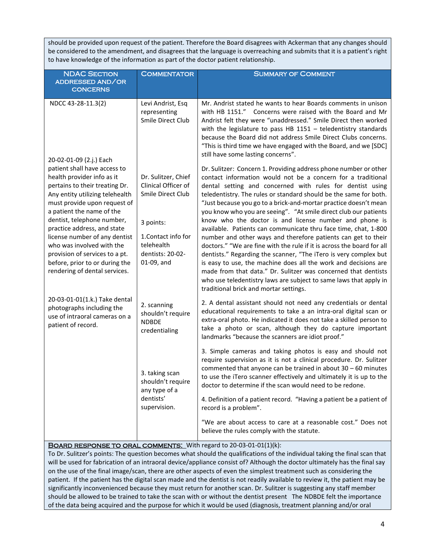should be provided upon request of the patient. Therefore the Board disagrees with Ackerman that any changes should be considered to the amendment, and disagrees that the language is overreaching and submits that it is a patient's right to have knowledge of the information as part of the doctor patient relationship.

| <b>NDAC SECTION</b><br>ADDRESSED AND/OR<br><b>CONCERNS</b>                                                                                                                                                                                                                                                                                                                                                                   | <b>COMMENTATOR</b>                                                                                                                                  | <b>SUMMARY OF COMMENT</b>                                                                                                                                                                                                                                                                                                                                                                                                                                                                                                                                                                                                                                                                                                                                                                                                                                                                                                                                                                                  |
|------------------------------------------------------------------------------------------------------------------------------------------------------------------------------------------------------------------------------------------------------------------------------------------------------------------------------------------------------------------------------------------------------------------------------|-----------------------------------------------------------------------------------------------------------------------------------------------------|------------------------------------------------------------------------------------------------------------------------------------------------------------------------------------------------------------------------------------------------------------------------------------------------------------------------------------------------------------------------------------------------------------------------------------------------------------------------------------------------------------------------------------------------------------------------------------------------------------------------------------------------------------------------------------------------------------------------------------------------------------------------------------------------------------------------------------------------------------------------------------------------------------------------------------------------------------------------------------------------------------|
| NDCC 43-28-11.3(2)<br>20-02-01-09 (2.j.) Each                                                                                                                                                                                                                                                                                                                                                                                | Levi Andrist, Esq<br>representing<br>Smile Direct Club                                                                                              | Mr. Andrist stated he wants to hear Boards comments in unison<br>with HB 1151." Concerns were raised with the Board and Mr<br>Andrist felt they were "unaddressed." Smile Direct then worked<br>with the legislature to pass HB $1151$ - teledentistry standards<br>because the Board did not address Smile Direct Clubs concerns.<br>"This is third time we have engaged with the Board, and we [SDC]<br>still have some lasting concerns".                                                                                                                                                                                                                                                                                                                                                                                                                                                                                                                                                               |
| patient shall have access to<br>health provider info as it<br>pertains to their treating Dr.<br>Any entity utilizing telehealth<br>must provide upon request of<br>a patient the name of the<br>dentist, telephone number,<br>practice address, and state<br>license number of any dentist<br>who was involved with the<br>provision of services to a pt.<br>before, prior to or during the<br>rendering of dental services. | Dr. Sulitzer, Chief<br>Clinical Officer of<br>Smile Direct Club<br>3 points:<br>1. Contact info for<br>telehealth<br>dentists: 20-02-<br>01-09, and | Dr. Sulitzer: Concern 1. Providing address phone number or other<br>contact information would not be a concern for a traditional<br>dental setting and concerned with rules for dentist using<br>teledentistry. The rules or standard should be the same for both.<br>"Just because you go to a brick-and-mortar practice doesn't mean<br>you know who you are seeing". "At smile direct club our patients<br>know who the doctor is and license number and phone is<br>available. Patients can communicate thru face time, chat, 1-800<br>number and other ways and therefore patients can get to their<br>doctors." "We are fine with the rule if it is across the board for all<br>dentists." Regarding the scanner, "The iTero is very complex but<br>is easy to use, the machine does all the work and decisions are<br>made from that data." Dr. Sulitzer was concerned that dentists<br>who use teledentistry laws are subject to same laws that apply in<br>traditional brick and mortar settings. |
| 20-03-01-01(1.k.) Take dental<br>photographs including the<br>use of intraoral cameras on a<br>patient of record.                                                                                                                                                                                                                                                                                                            | 2. scanning<br>shouldn't require<br><b>NDBDE</b><br>credentialing                                                                                   | 2. A dental assistant should not need any credentials or dental<br>educational requirements to take a an intra-oral digital scan or<br>extra-oral photo. He indicated it does not take a skilled person to<br>take a photo or scan, although they do capture important<br>landmarks "because the scanners are idiot proof."                                                                                                                                                                                                                                                                                                                                                                                                                                                                                                                                                                                                                                                                                |
|                                                                                                                                                                                                                                                                                                                                                                                                                              | 3. taking scan<br>shouldn't require<br>any type of a                                                                                                | 3. Simple cameras and taking photos is easy and should not<br>require supervision as it is not a clinical procedure. Dr. Sulitzer<br>commented that anyone can be trained in about $30 - 60$ minutes<br>to use the iTero scanner effectively and ultimately it is up to the<br>doctor to determine if the scan would need to be redone.                                                                                                                                                                                                                                                                                                                                                                                                                                                                                                                                                                                                                                                                    |
|                                                                                                                                                                                                                                                                                                                                                                                                                              | dentists'<br>supervision.                                                                                                                           | 4. Definition of a patient record. "Having a patient be a patient of<br>record is a problem".                                                                                                                                                                                                                                                                                                                                                                                                                                                                                                                                                                                                                                                                                                                                                                                                                                                                                                              |
|                                                                                                                                                                                                                                                                                                                                                                                                                              |                                                                                                                                                     | "We are about access to care at a reasonable cost." Does not<br>believe the rules comply with the statute.                                                                                                                                                                                                                                                                                                                                                                                                                                                                                                                                                                                                                                                                                                                                                                                                                                                                                                 |

#### BOARD RESPONSE TO ORAL COMMENTS: With regard to 20-03-01-01(1)(k):

To Dr. Sulitzer's points: The question becomes what should the qualifications of the individual taking the final scan that will be used for fabrication of an intraoral device/appliance consist of? Although the doctor ultimately has the final say on the use of the final image/scan, there are other aspects of even the simplest treatment such as considering the patient. If the patient has the digital scan made and the dentist is not readily available to review it, the patient may be significantly inconvenienced because they must return for another scan. Dr. Sulitzer is suggesting any staff member should be allowed to be trained to take the scan with or without the dentist present The NDBDE felt the importance of the data being acquired and the purpose for which it would be used (diagnosis, treatment planning and/or oral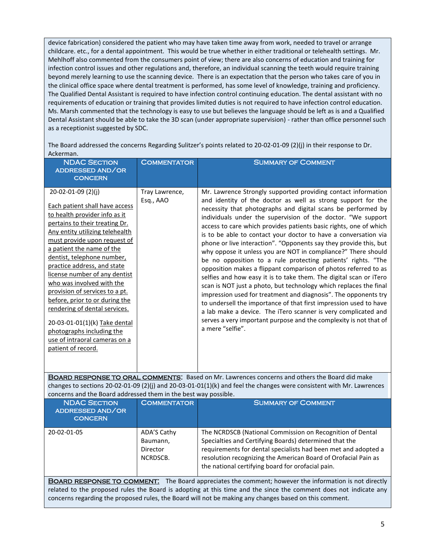device fabrication) considered the patient who may have taken time away from work, needed to travel or arrange childcare. etc., for a dental appointment. This would be true whether in either traditional or telehealth settings. Mr. Mehlhoff also commented from the consumers point of view; there are also concerns of education and training for infection control issues and other regulations and, therefore, an individual scanning the teeth would require training beyond merely learning to use the scanning device. There is an expectation that the person who takes care of you in the clinical office space where dental treatment is performed, has some level of knowledge, training and proficiency. The Qualified Dental Assistant is required to have infection control continuing education. The dental assistant with no requirements of education or training that provides limited duties is not required to have infection control education. Ms. Marsh commented that the technology is easy to use but believes the language should be left as is and a Qualified Dental Assistant should be able to take the 3D scan (under appropriate supervision) - rather than office personnel such as a receptionist suggested by SDC.

The Board addressed the concerns Regarding Sulitzer's points related to 20-02-01-09 (2)(j) in their response to Dr. Ackerman.

| <b>NDAC SECTION</b><br>ADDRESSED AND/OR<br><b>CONCERN</b>                                                                                                                                                                                                                                                                                                                                                                                                                                                                                                                    | <b>COMMENTATOR</b>          | <b>SUMMARY OF COMMENT</b>                                                                                                                                                                                                                                                                                                                                                                                                                                                                                                                                                                                                                                                                                                                                                                                                                                                                                                                                                                                                                                                                                                    |
|------------------------------------------------------------------------------------------------------------------------------------------------------------------------------------------------------------------------------------------------------------------------------------------------------------------------------------------------------------------------------------------------------------------------------------------------------------------------------------------------------------------------------------------------------------------------------|-----------------------------|------------------------------------------------------------------------------------------------------------------------------------------------------------------------------------------------------------------------------------------------------------------------------------------------------------------------------------------------------------------------------------------------------------------------------------------------------------------------------------------------------------------------------------------------------------------------------------------------------------------------------------------------------------------------------------------------------------------------------------------------------------------------------------------------------------------------------------------------------------------------------------------------------------------------------------------------------------------------------------------------------------------------------------------------------------------------------------------------------------------------------|
| 20-02-01-09 (2)(j)<br>Each patient shall have access<br>to health provider info as it<br>pertains to their treating Dr.<br>Any entity utilizing telehealth<br>must provide upon request of<br>a patient the name of the<br>dentist, telephone number,<br>practice address, and state<br>license number of any dentist<br>who was involved with the<br>provision of services to a pt.<br>before, prior to or during the<br>rendering of dental services.<br>20-03-01-01(1)(k) Take dental<br>photographs including the<br>use of intraoral cameras on a<br>patient of record. | Tray Lawrence,<br>Esq., AAO | Mr. Lawrence Strongly supported providing contact information<br>and identity of the doctor as well as strong support for the<br>necessity that photographs and digital scans be performed by<br>individuals under the supervision of the doctor. "We support<br>access to care which provides patients basic rights, one of which<br>is to be able to contact your doctor to have a conversation via<br>phone or live interaction". "Opponents say they provide this, but<br>why oppose it unless you are NOT in compliance?" There should<br>be no opposition to a rule protecting patients' rights. "The<br>opposition makes a flippant comparison of photos referred to as<br>selfies and how easy it is to take them. The digital scan or iTero<br>scan is NOT just a photo, but technology which replaces the final<br>impression used for treatment and diagnosis". The opponents try<br>to undersell the importance of that first impression used to have<br>a lab make a device. The iTero scanner is very complicated and<br>serves a very important purpose and the complexity is not that of<br>a mere "selfie". |

BOARD RESPONSE TO ORAL COMMENTS: Based on Mr. Lawrences concerns and others the Board did make changes to sections 20-02-01-09 (2)(j) and 20-03-01-01(1)(k) and feel the changes were consistent with Mr. Lawrences concerns and the Board addressed them in the best way possible.

| <b>NDAC SECTION</b><br>ADDRESSED AND/OR<br><b>CONCERN</b> | <b>COMMENTATOR</b>                              | <b>SUMMARY OF COMMENT</b>                                                                                                                                                                                                                                                                                    |
|-----------------------------------------------------------|-------------------------------------------------|--------------------------------------------------------------------------------------------------------------------------------------------------------------------------------------------------------------------------------------------------------------------------------------------------------------|
| 20-02-01-05                                               | ADA'S Cathy<br>Baumann,<br>Director<br>NCRDSCB. | The NCRDSCB (National Commission on Recognition of Dental<br>Specialties and Certifying Boards) determined that the<br>requirements for dental specialists had been met and adopted a<br>resolution recognizing the American Board of Orofacial Pain as<br>the national certifying board for orofacial pain. |

BOARD RESPONSE TO COMMENT: The Board appreciates the comment; however the information is not directly related to the proposed rules the Board is adopting at this time and the since the comment does not indicate any concerns regarding the proposed rules, the Board will not be making any changes based on this comment.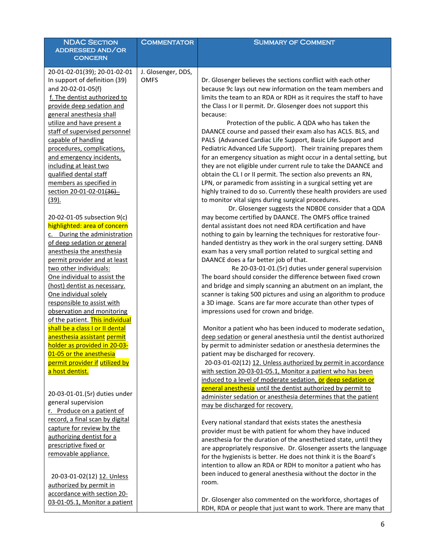| <b>NDAC SECTION</b>             | <b>COMMENTATOR</b> | <b>SUMMARY OF COMMENT</b>                                                 |
|---------------------------------|--------------------|---------------------------------------------------------------------------|
| ADDRESSED AND/OR                |                    |                                                                           |
| <b>CONCERN</b>                  |                    |                                                                           |
| 20-01-02-01(39); 20-01-02-01    | J. Glosenger, DDS, |                                                                           |
| In support of definition (39)   | <b>OMFS</b>        | Dr. Glosenger believes the sections conflict with each other              |
| and 20-02-01-05(f)              |                    | because 9c lays out new information on the team members and               |
| f. The dentist authorized to    |                    | limits the team to an RDA or RDH as it requires the staff to have         |
| provide deep sedation and       |                    |                                                                           |
|                                 |                    | the Class I or II permit. Dr. Glosenger does not support this<br>because: |
| general anesthesia shall        |                    |                                                                           |
| utilize and have present a      |                    | Protection of the public. A QDA who has taken the                         |
| staff of supervised personnel   |                    | DAANCE course and passed their exam also has ACLS. BLS, and               |
| capable of handling             |                    | PALS (Advanced Cardiac Life Support, Basic Life Support and               |
| procedures, complications,      |                    | Pediatric Advanced Life Support). Their training prepares them            |
| and emergency incidents,        |                    | for an emergency situation as might occur in a dental setting, but        |
| including at least two          |                    | they are not eligible under current rule to take the DAANCE and           |
| qualified dental staff          |                    | obtain the CL I or II permit. The section also prevents an RN,            |
| members as specified in         |                    | LPN, or paramedic from assisting in a surgical setting yet are            |
| section 20-01-02-01(36)         |                    | highly trained to do so. Currently these health providers are used        |
| $(39)$ .                        |                    | to monitor vital signs during surgical procedures.                        |
|                                 |                    | Dr. Glosenger suggests the NDBDE consider that a QDA                      |
| 20-02-01-05 subsection 9(c)     |                    | may become certified by DAANCE. The OMFS office trained                   |
| highlighted: area of concern    |                    | dental assistant does not need RDA certification and have                 |
| c. During the administration    |                    | nothing to gain by learning the techniques for restorative four-          |
| of deep sedation or general     |                    | handed dentistry as they work in the oral surgery setting. DANB           |
| anesthesia the anesthesia       |                    | exam has a very small portion related to surgical setting and             |
| permit provider and at least    |                    | DAANCE does a far better job of that.                                     |
| two other individuals:          |                    | Re 20-03-01-01.(5r) duties under general supervision                      |
| One individual to assist the    |                    | The board should consider the difference between fixed crown              |
| (host) dentist as necessary.    |                    | and bridge and simply scanning an abutment on an implant, the             |
| One individual solely           |                    | scanner is taking 500 pictures and using an algorithm to produce          |
| responsible to assist with      |                    | a 3D image. Scans are far more accurate than other types of               |
| observation and monitoring      |                    | impressions used for crown and bridge.                                    |
| of the patient. This individual |                    |                                                                           |
| shall be a class I or II dental |                    | Monitor a patient who has been induced to moderate sedation,              |
| anesthesia assistant permit     |                    | deep sedation or general anesthesia until the dentist authorized          |
| holder as provided in 20-03-    |                    | by permit to administer sedation or anesthesia determines the             |
| 01-05 or the anesthesia         |                    | patient may be discharged for recovery.                                   |
| permit provider if utilized by  |                    | 20-03-01-02(12) 12. Unless authorized by permit in accordance             |
| a host dentist.                 |                    | with section 20-03-01-05.1, Monitor a patient who has been                |
|                                 |                    | induced to a level of moderate sedation, or deep sedation or              |
|                                 |                    | general anesthesia until the dentist authorized by permit to              |
| 20-03-01-01.(5r) duties under   |                    | administer sedation or anesthesia determines that the patient             |
| general supervision             |                    | may be discharged for recovery.                                           |
| r. Produce on a patient of      |                    |                                                                           |
| record, a final scan by digital |                    | Every national standard that exists states the anesthesia                 |
| capture for review by the       |                    |                                                                           |
| authorizing dentist for a       |                    | provider must be with patient for whom they have induced                  |
| prescriptive fixed or           |                    | anesthesia for the duration of the anesthetized state, until they         |
| removable appliance.            |                    | are appropriately responsive. Dr. Glosenger asserts the language          |
|                                 |                    | for the hygienists is better. He does not think it is the Board's         |
|                                 |                    | intention to allow an RDA or RDH to monitor a patient who has             |
| 20-03-01-02(12) 12. Unless      |                    | been induced to general anesthesia without the doctor in the              |
| authorized by permit in         |                    | room.                                                                     |
| accordance with section 20-     |                    |                                                                           |
| 03-01-05.1, Monitor a patient   |                    | Dr. Glosenger also commented on the workforce, shortages of               |
|                                 |                    | RDH, RDA or people that just want to work. There are many that            |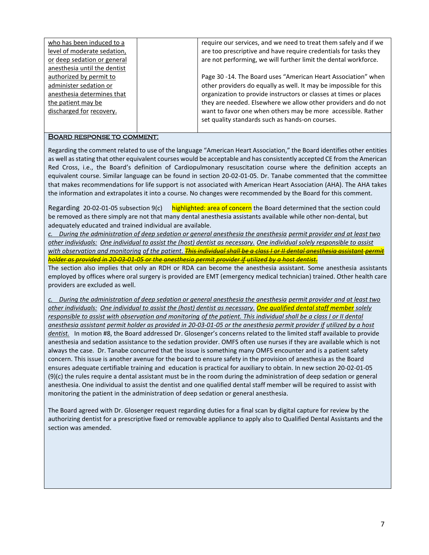| who has been induced to a    | require our services, and we need to treat them safely and if we  |
|------------------------------|-------------------------------------------------------------------|
| level of moderate sedation,  | are too prescriptive and have require credentials for tasks they  |
| or deep sedation or general  | are not performing, we will further limit the dental workforce.   |
| anesthesia until the dentist |                                                                   |
| authorized by permit to      | Page 30-14. The Board uses "American Heart Association" when      |
| administer sedation or       | other providers do equally as well. It may be impossible for this |
| anesthesia determines that   | organization to provide instructors or classes at times or places |
| the patient may be           | they are needed. Elsewhere we allow other providers and do not    |
| discharged for recovery.     | want to favor one when others may be more accessible. Rather      |
|                              | set quality standards such as hands-on courses.                   |
|                              |                                                                   |

#### Board response to comment:

Regarding the comment related to use of the language "American Heart Association," the Board identifies other entities as well as stating that other equivalent courses would be acceptable and has consistently accepted CE from the American Red Cross, i.e., the Board's definition of Cardiopulmonary resuscitation course where the definition accepts an equivalent course. Similar language can be found in section 20-02-01-05. Dr. Tanabe commented that the committee that makes recommendations for life support is not associated with American Heart Association (AHA). The AHA takes the information and extrapolates it into a course. No changes were recommended by the Board for this comment.

Regarding 20-02-01-05 subsection 9(c) highlighted: area of concern the Board determined that the section could be removed as there simply are not that many dental anesthesia assistants available while other non-dental, but adequately educated and trained individual are available.

*c. During the administration of deep sedation or general anesthesia the anesthesia permit provider and at least two other individuals: One individual to assist the (host) dentist as necessary. One individual solely responsible to assist with observation and monitoring of the patient. This individual shall be a class I or II dental anesthesia assistant permit holder as provided in 20-03-01-05 or the anesthesia permit provider if utilized by a host dentist.* 

The section also implies that only an RDH or RDA can become the anesthesia assistant. Some anesthesia assistants employed by offices where oral surgery is provided are EMT (emergency medical technician) trained. Other health care providers are excluded as well.

*c. During the administration of deep sedation or general anesthesia the anesthesia permit provider and at least two other individuals: One individual to assist the (host) dentist as necessary. One qualified dental staff member solely responsible to assist with observation and monitoring of the patient. This individual shall be a class I or II dental anesthesia assistant permit holder as provided in 20-03-01-05 or the anesthesia permit provider if utilized by a host dentist.* In motion #8, the Board addressed Dr. Glosenger's concerns related to the limited staff available to provide anesthesia and sedation assistance to the sedation provider. OMFS often use nurses if they are available which is not always the case. Dr. Tanabe concurred that the issue is something many OMFS encounter and is a patient safety concern. This issue is another avenue for the board to ensure safety in the provision of anesthesia as the Board ensures adequate certifiable training and education is practical for auxiliary to obtain. In new section 20-02-01-05 (9)(c) the rules require a dental assistant must be in the room during the administration of deep sedation or general anesthesia. One individual to assist the dentist and one qualified dental staff member will be required to assist with monitoring the patient in the administration of deep sedation or general anesthesia.

The Board agreed with Dr. Glosenger request regarding duties for a final scan by digital capture for review by the authorizing dentist for a prescriptive fixed or removable appliance to apply also to Qualified Dental Assistants and the section was amended.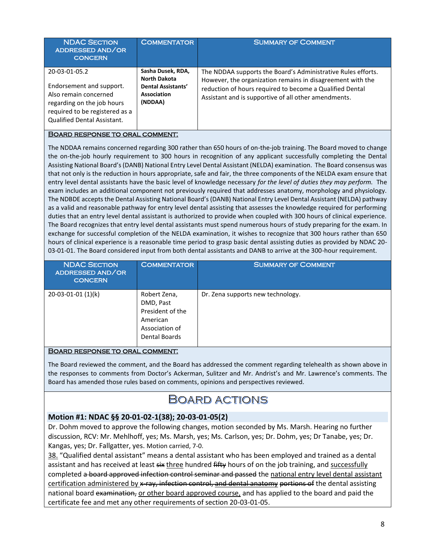| <b>NDAC SECTION</b><br>ADDRESSED AND/OR<br><b>CONCERN</b>                                                                                                         | <b>COMMENTATOR</b>                                                                              | <b>SUMMARY OF COMMENT</b>                                                                                                                                                                                                                      |
|-------------------------------------------------------------------------------------------------------------------------------------------------------------------|-------------------------------------------------------------------------------------------------|------------------------------------------------------------------------------------------------------------------------------------------------------------------------------------------------------------------------------------------------|
| 20-03-01-05.2<br>Endorsement and support.<br>Also remain concerned<br>regarding on the job hours<br>required to be registered as a<br>Qualified Dental Assistant. | Sasha Dusek, RDA,<br><b>North Dakota</b><br>Dental Assistants'<br><b>Association</b><br>(NDDAA) | The NDDAA supports the Board's Administrative Rules efforts.<br>However, the organization remains in disagreement with the<br>reduction of hours required to become a Qualified Dental<br>Assistant and is supportive of all other amendments. |

#### Board response to oral comment:

The NDDAA remains concerned regarding 300 rather than 650 hours of on-the-job training. The Board moved to change the on-the-job hourly requirement to 300 hours in recognition of any applicant successfully completing the Dental Assisting National Board's (DANB) National Entry Level Dental Assistant (NELDA) examination. The Board consensus was that not only is the reduction in hours appropriate, safe and fair, the three components of the NELDA exam ensure that entry level dental assistants have the basic level of knowledge necessary *for the level of duties they may perform.* The exam includes an additional component not previously required that addresses anatomy, morphology and physiology. The NDBDE accepts the Dental Assisting National Board's (DANB) National Entry Level Dental Assistant (NELDA) pathway as a valid and reasonable pathway for entry level dental assisting that assesses the knowledge required for performing duties that an entry level dental assistant is authorized to provide when coupled with 300 hours of clinical experience. The Board recognizes that entry level dental assistants must spend numerous hours of study preparing for the exam. In exchange for successful completion of the NELDA examination, it wishes to recognize that 300 hours rather than 650 hours of clinical experience is a reasonable time period to grasp basic dental assisting duties as provided by NDAC 20- 03-01-01. The Board considered input from both dental assistants and DANB to arrive at the 300-hour requirement.

| <b>NDAC SECTION</b><br>ADDRESSED AND/OR<br><b>CONCERN</b> | <b>COMMENTATOR</b>                                                                           | <b>SUMMARY OF COMMENT</b>         |
|-----------------------------------------------------------|----------------------------------------------------------------------------------------------|-----------------------------------|
| 20-03-01-01 (1)(k)                                        | Robert Zena,<br>DMD, Past<br>President of the<br>American<br>Association of<br>Dental Boards | Dr. Zena supports new technology. |

#### Board response to oral comment:

The Board reviewed the comment, and the Board has addressed the comment regarding telehealth as shown above in the responses to comments from Doctor's Ackerman, Sulitzer and Mr. Andrist's and Mr. Lawrence's comments. The Board has amended those rules based on comments, opinions and perspectives reviewed.

# BOARD ACTIONS

## **Motion #1: NDAC §§ 20-01-02-1(38); 20-03-01-05(2)**

Dr. Dohm moved to approve the following changes, motion seconded by Ms. Marsh. Hearing no further discussion, RCV: Mr. Mehlhoff, yes; Ms. Marsh, yes; Ms. Carlson, yes; Dr. Dohm, yes; Dr Tanabe, yes; Dr. Kangas, yes; Dr. Fallgatter, yes. Motion carried, 7-0.

38. "Qualified dental assistant" means a dental assistant who has been employed and trained as a dental assistant and has received at least six three hundred fifty hours of on the job training, and successfully completed a board approved infection control seminar and passed the national entry level dental assistant certification administered by x-ray, infection control, and dental anatomy portions of the dental assisting national board examination, or other board approved course, and has applied to the board and paid the certificate fee and met any other requirements of section 20-03-01-05.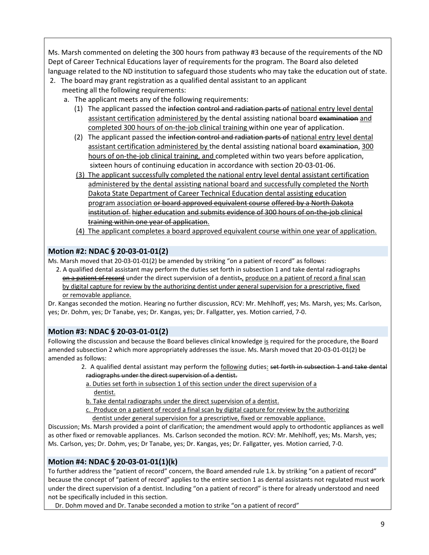Ms. Marsh commented on deleting the 300 hours from pathway #3 because of the requirements of the ND Dept of Career Technical Educations layer of requirements for the program. The Board also deleted language related to the ND institution to safeguard those students who may take the education out of state.

- 2. The board may grant registration as a qualified dental assistant to an applicant meeting all the following requirements:
	- a. The applicant meets any of the following requirements:
		- (1) The applicant passed the infection control and radiation parts of national entry level dental assistant certification administered by the dental assisting national board examination and completed 300 hours of on-the-job clinical training within one year of application.
		- (2) The applicant passed the infection control and radiation parts of national entry level dental assistant certification administered by the dental assisting national board examination, 300 hours of on-the-job clinical training, and completed within two years before application, sixteen hours of continuing education in accordance with section 20-03-01-06.
		- (3) The applicant successfully completed the national entry level dental assistant certification administered by the dental assisting national board and successfully completed the North Dakota State Department of Career Technical Education dental assisting education program association or board approved equivalent course offered by a North Dakota institution of higher education and submits evidence of 300 hours of on-the-job clinical training within one year of application.
		- (4) The applicant completes a board approved equivalent course within one year of application.

## **Motion #2: NDAC § 20-03-01-01(2)**

Ms. Marsh moved that 20-03-01-01(2) be amended by striking "on a patient of record" as follows:

 2. A qualified dental assistant may perform the duties set forth in subsection 1 and take dental radiographs on a patient of record under the direct supervision of a dentist-, produce on a patient of record a final scan by digital capture for review by the authorizing dentist under general supervision for a prescriptive, fixed or removable appliance.

Dr. Kangas seconded the motion. Hearing no further discussion, RCV: Mr. Mehlhoff, yes; Ms. Marsh, yes; Ms. Carlson, yes; Dr. Dohm, yes; Dr Tanabe, yes; Dr. Kangas, yes; Dr. Fallgatter, yes. Motion carried, 7-0.

# **Motion #3: NDAC § 20-03-01-01(2)**

Following the discussion and because the Board believes clinical knowledge is required for the procedure, the Board amended subsection 2 which more appropriately addresses the issue. Ms. Marsh moved that 20-03-01-01(2) be amended as follows:

- 2. A qualified dental assistant may perform the **following duties**: set forth in subsection 1 and take dental radiographs under the direct supervision of a dentist.
- a. Duties set forth in subsection 1 of this section under the direct supervision of a dentist.
- b. Take dental radiographs under the direct supervision of a dentist.
- c. Produce on a patient of record a final scan by digital capture for review by the authorizing dentist under general supervision for a prescriptive, fixed or removable appliance.

Discussion; Ms. Marsh provided a point of clarification; the amendment would apply to orthodontic appliances as well as other fixed or removable appliances. Ms. Carlson seconded the motion. RCV: Mr. Mehlhoff, yes; Ms. Marsh, yes; Ms. Carlson, yes; Dr. Dohm, yes; Dr Tanabe, yes; Dr. Kangas, yes; Dr. Fallgatter, yes. Motion carried, 7-0.

## **Motion #4: NDAC § 20-03-01-01(1)(k)**

To further address the "patient of record" concern, the Board amended rule 1.k. by striking "on a patient of record" because the concept of "patient of record" applies to the entire section 1 as dental assistants not regulated must work under the direct supervision of a dentist. Including "on a patient of record" is there for already understood and need not be specifically included in this section.

Dr. Dohm moved and Dr. Tanabe seconded a motion to strike "on a patient of record"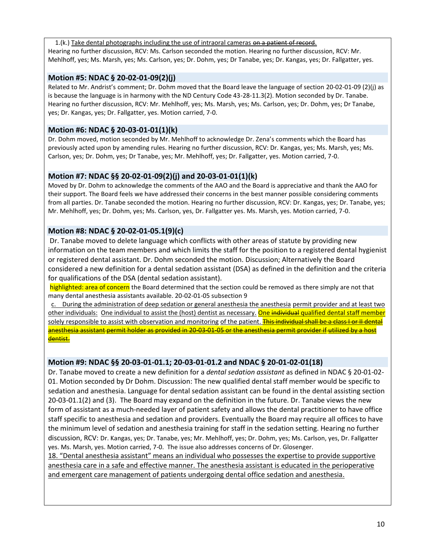1.(k.) Take dental photographs including the use of intraoral cameras on a patient of record. Hearing no further discussion, RCV: Ms. Carlson seconded the motion. Hearing no further discussion, RCV: Mr. Mehlhoff, yes; Ms. Marsh, yes; Ms. Carlson, yes; Dr. Dohm, yes; Dr Tanabe, yes; Dr. Kangas, yes; Dr. Fallgatter, yes.

## **Motion #5: NDAC § 20-02-01-09(2)(j)**

Related to Mr. Andrist's comment; Dr. Dohm moved that the Board leave the language of section 20-02-01-09 (2)(j) as is because the language is in harmony with the ND Century Code 43-28-11.3(2). Motion seconded by Dr. Tanabe. Hearing no further discussion, RCV: Mr. Mehlhoff, yes; Ms. Marsh, yes; Ms. Carlson, yes; Dr. Dohm, yes; Dr Tanabe, yes; Dr. Kangas, yes; Dr. Fallgatter, yes. Motion carried, 7-0.

## **Motion #6: NDAC § 20-03-01-01(1)(k)**

Dr. Dohm moved, motion seconded by Mr. Mehlhoff to acknowledge Dr. Zena's comments which the Board has previously acted upon by amending rules. Hearing no further discussion, RCV: Dr. Kangas, yes; Ms. Marsh, yes; Ms. Carlson, yes; Dr. Dohm, yes; Dr Tanabe, yes; Mr. Mehlhoff, yes; Dr. Fallgatter, yes. Motion carried, 7-0.

## **Motion #7: NDAC §§ 20-02-01-09(2)(j) and 20-03-01-01(1)(k)**

Moved by Dr. Dohm to acknowledge the comments of the AAO and the Board is appreciative and thank the AAO for their support. The Board feels we have addressed their concerns in the best manner possible considering comments from all parties. Dr. Tanabe seconded the motion. Hearing no further discussion, RCV: Dr. Kangas, yes; Dr. Tanabe, yes; Mr. Mehlhoff, yes; Dr. Dohm, yes; Ms. Carlson, yes, Dr. Fallgatter yes. Ms. Marsh, yes. Motion carried, 7-0.

## **Motion #8: NDAC § 20-02-01-05.1(9)(c)**

Dr. Tanabe moved to delete language which conflicts with other areas of statute by providing new information on the team members and which limits the staff for the position to a registered dental hygienist or registered dental assistant. Dr. Dohm seconded the motion. Discussion; Alternatively the Board considered a new definition for a dental sedation assistant (DSA) as defined in the definition and the criteria for qualifications of the DSA (dental sedation assistant).

highlighted: area of concern the Board determined that the section could be removed as there simply are not that many dental anesthesia assistants available. 20-02-01-05 subsection 9

c. During the administration of deep sedation or general anesthesia the anesthesia permit provider and at least two other individuals: One individual to assist the (host) dentist as necessary. One individual qualified dental staff member solely responsible to assist with observation and monitoring of the patient. This individual shall be a class I or II dental anesthesia assistant permit holder as provided in 20-03-01-05 or the anesthesia permit provider if utilized by a host dentist.

## **Motion #9: NDAC §§ 20-03-01-01.1; 20-03-01-01.2 and NDAC § 20-01-02-01(18)**

Dr. Tanabe moved to create a new definition for a *dental sedation assistant* as defined in NDAC § 20-01-02- 01. Motion seconded by Dr Dohm. Discussion: The new qualified dental staff member would be specific to sedation and anesthesia. Language for dental sedation assistant can be found in the dental assisting section 20-03-01.1(2) and (3). The Board may expand on the definition in the future. Dr. Tanabe views the new form of assistant as a much-needed layer of patient safety and allows the dental practitioner to have office staff specific to anesthesia and sedation and providers. Eventually the Board may require all offices to have the minimum level of sedation and anesthesia training for staff in the sedation setting. Hearing no further discussion, RCV: Dr. Kangas, yes; Dr. Tanabe, yes; Mr. Mehlhoff, yes; Dr. Dohm, yes; Ms. Carlson, yes, Dr. Fallgatter yes. Ms. Marsh, yes. Motion carried, 7-0. The issue also addresses concerns of Dr. Glosenger.

18. "Dental anesthesia assistant" means an individual who possesses the expertise to provide supportive anesthesia care in a safe and effective manner. The anesthesia assistant is educated in the perioperative and emergent care management of patients undergoing dental office sedation and anesthesia.